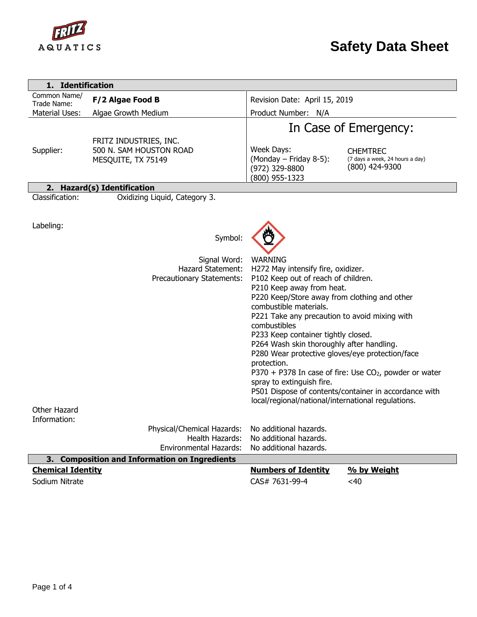

| 1. Identification                                            |                                                                                                                   |                                                                                                                                                                                                                                                                                                                                                                                                                                                                                                              |                                                                                                                               |  |
|--------------------------------------------------------------|-------------------------------------------------------------------------------------------------------------------|--------------------------------------------------------------------------------------------------------------------------------------------------------------------------------------------------------------------------------------------------------------------------------------------------------------------------------------------------------------------------------------------------------------------------------------------------------------------------------------------------------------|-------------------------------------------------------------------------------------------------------------------------------|--|
| Common Name/<br>Trade Name:                                  | F/2 Algae Food B                                                                                                  | Revision Date: April 15, 2019                                                                                                                                                                                                                                                                                                                                                                                                                                                                                |                                                                                                                               |  |
| Material Uses:                                               | Algae Growth Medium                                                                                               | Product Number: N/A                                                                                                                                                                                                                                                                                                                                                                                                                                                                                          |                                                                                                                               |  |
| Supplier:                                                    | FRITZ INDUSTRIES, INC.<br>500 N. SAM HOUSTON ROAD<br>MESQUITE, TX 75149                                           | Week Days:<br>(Monday - Friday 8-5):<br>(972) 329-8800<br>(800) 955-1323                                                                                                                                                                                                                                                                                                                                                                                                                                     | In Case of Emergency:<br><b>CHEMTREC</b><br>(7 days a week, 24 hours a day)<br>(800) 424-9300                                 |  |
|                                                              | 2. Hazard(s) Identification                                                                                       |                                                                                                                                                                                                                                                                                                                                                                                                                                                                                                              |                                                                                                                               |  |
| Classification:<br>Labeling:<br>Other Hazard<br>Information: | Oxidizing Liquid, Category 3.<br>Symbol:<br>Signal Word:<br><b>Hazard Statement:</b><br>Precautionary Statements: | <b>WARNING</b><br>H272 May intensify fire, oxidizer.<br>P102 Keep out of reach of children.<br>P210 Keep away from heat.<br>P220 Keep/Store away from clothing and other<br>combustible materials.<br>P221 Take any precaution to avoid mixing with<br>combustibles<br>P233 Keep container tightly closed.<br>P264 Wash skin thoroughly after handling.<br>P280 Wear protective gloves/eye protection/face<br>protection.<br>spray to extinguish fire.<br>local/regional/national/international regulations. | $P370 + P378$ In case of fire: Use CO <sub>2</sub> , powder or water<br>P501 Dispose of contents/container in accordance with |  |
|                                                              | Physical/Chemical Hazards:                                                                                        | No additional hazards.                                                                                                                                                                                                                                                                                                                                                                                                                                                                                       |                                                                                                                               |  |
|                                                              | Health Hazards:<br><b>Environmental Hazards:</b>                                                                  | No additional hazards.<br>No additional hazards.                                                                                                                                                                                                                                                                                                                                                                                                                                                             |                                                                                                                               |  |
|                                                              | 3. Composition and Information on Ingredients                                                                     |                                                                                                                                                                                                                                                                                                                                                                                                                                                                                                              |                                                                                                                               |  |
| <b>Chemical Identity</b>                                     |                                                                                                                   | <b>Numbers of Identity</b>                                                                                                                                                                                                                                                                                                                                                                                                                                                                                   | % by Weight                                                                                                                   |  |
| Sodium Nitrate                                               |                                                                                                                   | CAS# 7631-99-4                                                                                                                                                                                                                                                                                                                                                                                                                                                                                               | <40                                                                                                                           |  |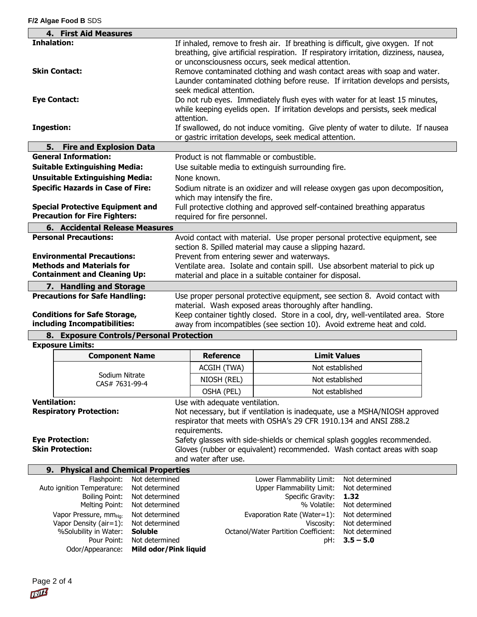| 4. First Aid Measures                                               |                |                                                                                                                                                |                                                          |                                                                                       |  |
|---------------------------------------------------------------------|----------------|------------------------------------------------------------------------------------------------------------------------------------------------|----------------------------------------------------------|---------------------------------------------------------------------------------------|--|
| <b>Inhalation:</b>                                                  |                | If inhaled, remove to fresh air. If breathing is difficult, give oxygen. If not                                                                |                                                          |                                                                                       |  |
|                                                                     |                |                                                                                                                                                |                                                          | breathing, give artificial respiration. If respiratory irritation, dizziness, nausea, |  |
|                                                                     |                |                                                                                                                                                | or unconsciousness occurs, seek medical attention.       |                                                                                       |  |
| <b>Skin Contact:</b>                                                |                |                                                                                                                                                |                                                          | Remove contaminated clothing and wash contact areas with soap and water.              |  |
|                                                                     |                | Launder contaminated clothing before reuse. If irritation develops and persists,                                                               |                                                          |                                                                                       |  |
|                                                                     |                | seek medical attention.                                                                                                                        |                                                          |                                                                                       |  |
| <b>Eye Contact:</b>                                                 |                |                                                                                                                                                |                                                          | Do not rub eyes. Immediately flush eyes with water for at least 15 minutes,           |  |
|                                                                     |                |                                                                                                                                                |                                                          | while keeping eyelids open. If irritation develops and persists, seek medical         |  |
|                                                                     |                | attention.                                                                                                                                     |                                                          |                                                                                       |  |
| <b>Ingestion:</b>                                                   |                | If swallowed, do not induce vomiting. Give plenty of water to dilute. If nausea                                                                |                                                          |                                                                                       |  |
|                                                                     |                |                                                                                                                                                | or gastric irritation develops, seek medical attention.  |                                                                                       |  |
| 5.<br><b>Fire and Explosion Data</b><br><b>General Information:</b> |                |                                                                                                                                                |                                                          |                                                                                       |  |
|                                                                     |                | Product is not flammable or combustible.                                                                                                       |                                                          |                                                                                       |  |
| <b>Suitable Extinguishing Media:</b>                                |                |                                                                                                                                                | Use suitable media to extinguish surrounding fire.       |                                                                                       |  |
| <b>Unsuitable Extinguishing Media:</b>                              |                | None known.                                                                                                                                    |                                                          |                                                                                       |  |
| <b>Specific Hazards in Case of Fire:</b>                            |                | Sodium nitrate is an oxidizer and will release oxygen gas upon decomposition,                                                                  |                                                          |                                                                                       |  |
|                                                                     |                | which may intensify the fire.                                                                                                                  |                                                          |                                                                                       |  |
| <b>Special Protective Equipment and</b>                             |                | Full protective clothing and approved self-contained breathing apparatus                                                                       |                                                          |                                                                                       |  |
| <b>Precaution for Fire Fighters:</b>                                |                | required for fire personnel.                                                                                                                   |                                                          |                                                                                       |  |
| 6. Accidental Release Measures                                      |                |                                                                                                                                                |                                                          |                                                                                       |  |
| <b>Personal Precautions:</b>                                        |                |                                                                                                                                                |                                                          | Avoid contact with material. Use proper personal protective equipment, see            |  |
|                                                                     |                |                                                                                                                                                | section 8. Spilled material may cause a slipping hazard. |                                                                                       |  |
| <b>Environmental Precautions:</b>                                   |                |                                                                                                                                                | Prevent from entering sewer and waterways.               |                                                                                       |  |
| <b>Methods and Materials for</b>                                    |                |                                                                                                                                                |                                                          | Ventilate area. Isolate and contain spill. Use absorbent material to pick up          |  |
| <b>Containment and Cleaning Up:</b>                                 |                |                                                                                                                                                | material and place in a suitable container for disposal. |                                                                                       |  |
| 7. Handling and Storage                                             |                |                                                                                                                                                |                                                          |                                                                                       |  |
| <b>Precautions for Safe Handling:</b>                               |                |                                                                                                                                                |                                                          | Use proper personal protective equipment, see section 8. Avoid contact with           |  |
|                                                                     |                | material. Wash exposed areas thoroughly after handling.                                                                                        |                                                          |                                                                                       |  |
| <b>Conditions for Safe Storage,</b>                                 |                |                                                                                                                                                |                                                          | Keep container tightly closed. Store in a cool, dry, well-ventilated area. Store      |  |
| including Incompatibilities:                                        |                |                                                                                                                                                |                                                          | away from incompatibles (see section 10). Avoid extreme heat and cold.                |  |
| 8. Exposure Controls/Personal Protection                            |                |                                                                                                                                                |                                                          |                                                                                       |  |
| <b>Exposure Limits:</b>                                             |                |                                                                                                                                                |                                                          |                                                                                       |  |
| <b>Component Name</b>                                               |                | <b>Reference</b>                                                                                                                               | <b>Limit Values</b>                                      |                                                                                       |  |
|                                                                     |                | ACGIH (TWA)                                                                                                                                    | Not established                                          |                                                                                       |  |
| Sodium Nitrate                                                      |                | NIOSH (REL)                                                                                                                                    | Not established                                          |                                                                                       |  |
| CAS# 7631-99-4                                                      |                | OSHA (PEL)                                                                                                                                     | Not established                                          |                                                                                       |  |
| <b>Ventilation:</b><br>Use with adequate ventilation.               |                |                                                                                                                                                |                                                          |                                                                                       |  |
| <b>Respiratory Protection:</b>                                      |                |                                                                                                                                                |                                                          |                                                                                       |  |
|                                                                     |                | Not necessary, but if ventilation is inadequate, use a MSHA/NIOSH approved<br>respirator that meets with OSHA's 29 CFR 1910.134 and ANSI Z88.2 |                                                          |                                                                                       |  |
|                                                                     |                | requirements.                                                                                                                                  |                                                          |                                                                                       |  |
| <b>Eye Protection:</b>                                              |                | Safety glasses with side-shields or chemical splash goggles recommended.                                                                       |                                                          |                                                                                       |  |
| <b>Skin Protection:</b>                                             |                |                                                                                                                                                |                                                          | Gloves (rubber or equivalent) recommended. Wash contact areas with soap               |  |
|                                                                     |                | and water after use.                                                                                                                           |                                                          |                                                                                       |  |
| 9.<br><b>Physical and Chemical Properties</b>                       |                |                                                                                                                                                |                                                          |                                                                                       |  |
| Flashpoint:                                                         | Not determined |                                                                                                                                                | Lower Flammability Limit:                                | Not determined                                                                        |  |
| Auto ignition Temperature:<br>Not determined                        |                |                                                                                                                                                | <b>Upper Flammability Limit:</b>                         | Not determined                                                                        |  |
| <b>Boiling Point:</b><br>Not determined                             |                |                                                                                                                                                | Specific Gravity:                                        | 1.32                                                                                  |  |
| Melting Point:                                                      | Not determined |                                                                                                                                                | % Volatile:                                              | Not determined                                                                        |  |
| Vapor Pressure, mm <sub>Hg:</sub>                                   | Not determined |                                                                                                                                                | Evaporation Rate (Water=1):                              | Not determined                                                                        |  |
| Vapor Density (air=1):                                              | Not determined |                                                                                                                                                | Viscosity:                                               | Not determined                                                                        |  |
| %Solubility in Water:                                               | <b>Soluble</b> |                                                                                                                                                | Octanol/Water Partition Coefficient:                     | Not determined                                                                        |  |
| Pour Point:                                                         | Not determined |                                                                                                                                                | pH:                                                      | $3.5 - 5.0$                                                                           |  |

Odor/Appearance: **Mild odor/Pink liquid**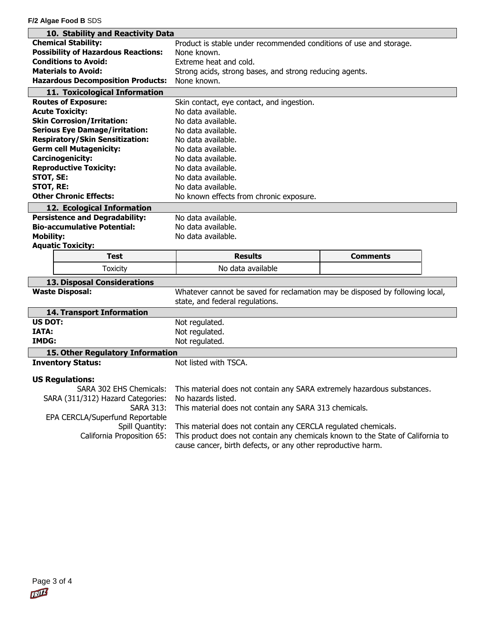**F/2 Algae Food B** SDS

| 10. Stability and Reactivity Data             |                                                                                                                                                   |                 |  |  |  |
|-----------------------------------------------|---------------------------------------------------------------------------------------------------------------------------------------------------|-----------------|--|--|--|
| <b>Chemical Stability:</b>                    | Product is stable under recommended conditions of use and storage.                                                                                |                 |  |  |  |
| <b>Possibility of Hazardous Reactions:</b>    | None known.                                                                                                                                       |                 |  |  |  |
| <b>Conditions to Avoid:</b>                   | Extreme heat and cold.                                                                                                                            |                 |  |  |  |
| <b>Materials to Avoid:</b>                    | Strong acids, strong bases, and strong reducing agents.                                                                                           |                 |  |  |  |
| <b>Hazardous Decomposition Products:</b>      | None known.                                                                                                                                       |                 |  |  |  |
| 11. Toxicological Information                 |                                                                                                                                                   |                 |  |  |  |
| <b>Routes of Exposure:</b>                    | Skin contact, eye contact, and ingestion.                                                                                                         |                 |  |  |  |
| <b>Acute Toxicity:</b>                        | No data available.                                                                                                                                |                 |  |  |  |
| <b>Skin Corrosion/Irritation:</b>             | No data available.                                                                                                                                |                 |  |  |  |
| <b>Serious Eye Damage/irritation:</b>         | No data available.                                                                                                                                |                 |  |  |  |
| <b>Respiratory/Skin Sensitization:</b>        | No data available.                                                                                                                                |                 |  |  |  |
| <b>Germ cell Mutagenicity:</b>                | No data available.                                                                                                                                |                 |  |  |  |
| <b>Carcinogenicity:</b>                       | No data available.                                                                                                                                |                 |  |  |  |
| <b>Reproductive Toxicity:</b>                 | No data available.                                                                                                                                |                 |  |  |  |
| STOT, SE:                                     | No data available.                                                                                                                                |                 |  |  |  |
| <b>STOT, RE:</b>                              | No data available.                                                                                                                                |                 |  |  |  |
| <b>Other Chronic Effects:</b>                 | No known effects from chronic exposure.                                                                                                           |                 |  |  |  |
| 12. Ecological Information                    |                                                                                                                                                   |                 |  |  |  |
| <b>Persistence and Degradability:</b>         | No data available.                                                                                                                                |                 |  |  |  |
| <b>Bio-accumulative Potential:</b>            | No data available.                                                                                                                                |                 |  |  |  |
| <b>Mobility:</b>                              | No data available.                                                                                                                                |                 |  |  |  |
|                                               |                                                                                                                                                   |                 |  |  |  |
| <b>Aquatic Toxicity:</b>                      |                                                                                                                                                   |                 |  |  |  |
| Test                                          | <b>Results</b>                                                                                                                                    | <b>Comments</b> |  |  |  |
| <b>Toxicity</b>                               | No data available                                                                                                                                 |                 |  |  |  |
| <b>13. Disposal Considerations</b>            |                                                                                                                                                   |                 |  |  |  |
| <b>Waste Disposal:</b>                        | Whatever cannot be saved for reclamation may be disposed by following local,                                                                      |                 |  |  |  |
|                                               | state, and federal regulations.                                                                                                                   |                 |  |  |  |
| <b>14. Transport Information</b>              |                                                                                                                                                   |                 |  |  |  |
| <b>US DOT:</b>                                | Not regulated.                                                                                                                                    |                 |  |  |  |
| <b>IATA:</b>                                  | Not regulated.                                                                                                                                    |                 |  |  |  |
| IMDG:                                         | Not regulated.                                                                                                                                    |                 |  |  |  |
| 15. Other Regulatory Information              |                                                                                                                                                   |                 |  |  |  |
| <b>Inventory Status:</b>                      | Not listed with TSCA.                                                                                                                             |                 |  |  |  |
| <b>US Regulations:</b>                        |                                                                                                                                                   |                 |  |  |  |
| SARA 302 EHS Chemicals:                       | This material does not contain any SARA extremely hazardous substances.                                                                           |                 |  |  |  |
| SARA (311/312) Hazard Categories:             | No hazards listed.                                                                                                                                |                 |  |  |  |
| <b>SARA 313:</b>                              | This material does not contain any SARA 313 chemicals.                                                                                            |                 |  |  |  |
| EPA CERCLA/Superfund Reportable               |                                                                                                                                                   |                 |  |  |  |
|                                               |                                                                                                                                                   |                 |  |  |  |
| Spill Quantity:<br>California Proposition 65: | This material does not contain any CERCLA regulated chemicals.<br>This product does not contain any chemicals known to the State of California to |                 |  |  |  |
|                                               | cause cancer, birth defects, or any other reproductive harm.                                                                                      |                 |  |  |  |